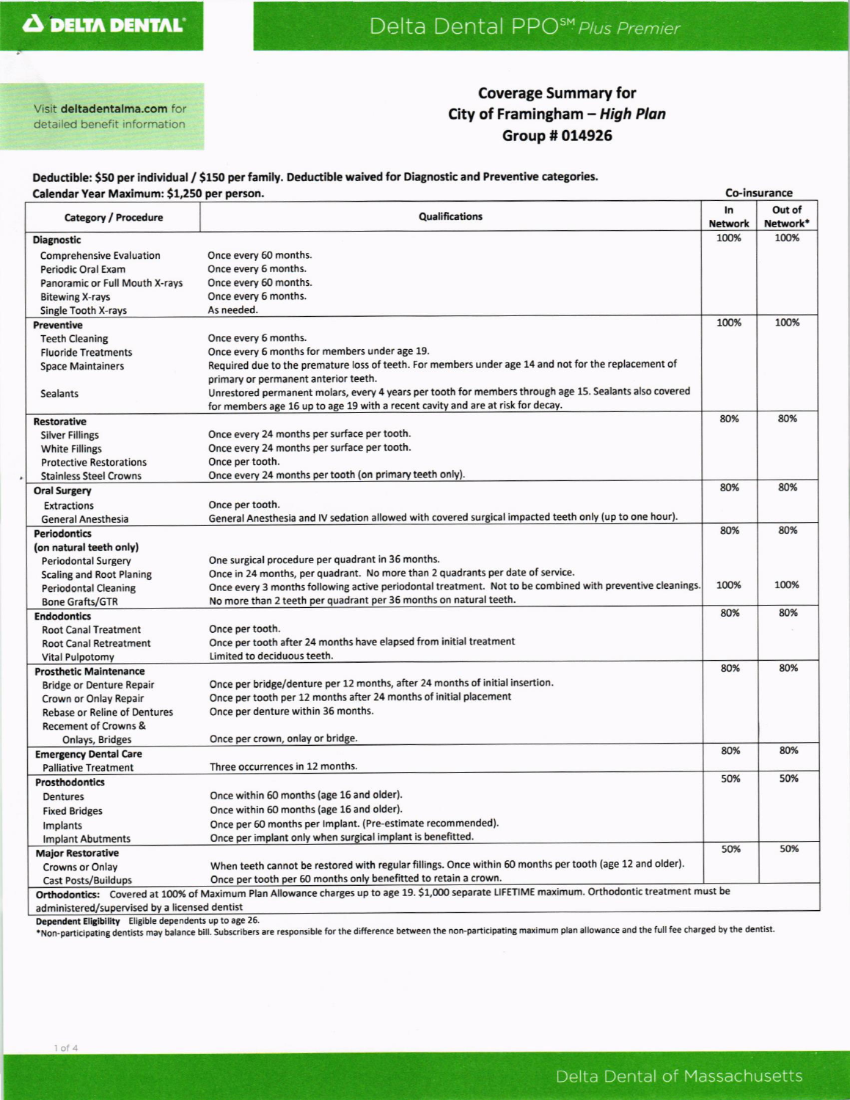# Delta Dental PPO<sup>SM</sup> Plus Premier

Visit deltadentalma.com for detailed benefit information

## **Coverage Summary for** City of Framingham - High Plan Group # 014926

#### Deductible: \$50 per individual / \$150 per family. Deductible waived for Diagnostic and Preventive categories. Calendar Vear Maximum: \$1.250 ner nerson

| Calendar Year Maximum: \$1,250 per person.                                                                                                     |                                                                                                           |      | Co-insurance       |  |  |
|------------------------------------------------------------------------------------------------------------------------------------------------|-----------------------------------------------------------------------------------------------------------|------|--------------------|--|--|
| Category / Procedure                                                                                                                           | <b>Qualifications</b>                                                                                     |      | Out of<br>Network* |  |  |
| <b>Diagnostic</b>                                                                                                                              |                                                                                                           | 100% | 100%               |  |  |
| <b>Comprehensive Evaluation</b>                                                                                                                | Once every 60 months.                                                                                     |      |                    |  |  |
| <b>Periodic Oral Exam</b>                                                                                                                      | Once every 6 months.                                                                                      |      |                    |  |  |
| Panoramic or Full Mouth X-rays                                                                                                                 | Once every 60 months.                                                                                     |      |                    |  |  |
| <b>Bitewing X-rays</b>                                                                                                                         | Once every 6 months.                                                                                      |      |                    |  |  |
| Single Tooth X-rays                                                                                                                            | As needed.                                                                                                |      |                    |  |  |
| <b>Preventive</b>                                                                                                                              |                                                                                                           | 100% | 100%               |  |  |
| <b>Teeth Cleaning</b>                                                                                                                          | Once every 6 months.                                                                                      |      |                    |  |  |
| <b>Fluoride Treatments</b>                                                                                                                     | Once every 6 months for members under age 19.                                                             |      |                    |  |  |
| <b>Space Maintainers</b>                                                                                                                       | Required due to the premature loss of teeth. For members under age 14 and not for the replacement of      |      |                    |  |  |
|                                                                                                                                                | primary or permanent anterior teeth.                                                                      |      |                    |  |  |
| <b>Sealants</b>                                                                                                                                | Unrestored permanent molars, every 4 years per tooth for members through age 15. Sealants also covered    |      |                    |  |  |
|                                                                                                                                                | for members age 16 up to age 19 with a recent cavity and are at risk for decay.                           |      |                    |  |  |
| <b>Restorative</b>                                                                                                                             |                                                                                                           | 80%  | 80%                |  |  |
| <b>Silver Fillings</b>                                                                                                                         | Once every 24 months per surface per tooth.                                                               |      |                    |  |  |
| <b>White Fillings</b>                                                                                                                          | Once every 24 months per surface per tooth.                                                               |      |                    |  |  |
| <b>Protective Restorations</b>                                                                                                                 | Once per tooth.                                                                                           |      |                    |  |  |
| <b>Stainless Steel Crowns</b>                                                                                                                  | Once every 24 months per tooth (on primary teeth only).                                                   |      |                    |  |  |
| <b>Oral Surgery</b>                                                                                                                            |                                                                                                           | 80%  | 80%                |  |  |
| <b>Extractions</b>                                                                                                                             | Once per tooth.                                                                                           |      |                    |  |  |
| <b>General Anesthesia</b>                                                                                                                      | General Anesthesia and IV sedation allowed with covered surgical impacted teeth only (up to one hour).    |      |                    |  |  |
| <b>Periodontics</b>                                                                                                                            |                                                                                                           | 80%  | 80%                |  |  |
| (on natural teeth only)                                                                                                                        |                                                                                                           |      |                    |  |  |
| <b>Periodontal Surgery</b>                                                                                                                     | One surgical procedure per quadrant in 36 months.                                                         |      |                    |  |  |
| <b>Scaling and Root Planing</b>                                                                                                                | Once in 24 months, per quadrant. No more than 2 quadrants per date of service.                            |      |                    |  |  |
| <b>Periodontal Cleaning</b>                                                                                                                    | Once every 3 months following active periodontal treatment. Not to be combined with preventive cleanings. | 100% | 100%               |  |  |
| <b>Bone Grafts/GTR</b>                                                                                                                         | No more than 2 teeth per quadrant per 36 months on natural teeth.                                         |      |                    |  |  |
| <b>Endodontics</b>                                                                                                                             |                                                                                                           | 80%  | 80%                |  |  |
| <b>Root Canal Treatment</b>                                                                                                                    | Once per tooth.                                                                                           |      |                    |  |  |
| <b>Root Canal Retreatment</b>                                                                                                                  | Once per tooth after 24 months have elapsed from initial treatment                                        |      |                    |  |  |
| <b>Vital Pulpotomy</b>                                                                                                                         | Limited to deciduous teeth.                                                                               |      |                    |  |  |
| <b>Prosthetic Maintenance</b>                                                                                                                  |                                                                                                           | 80%  | 80%                |  |  |
| <b>Bridge or Denture Repair</b>                                                                                                                | Once per bridge/denture per 12 months, after 24 months of initial insertion.                              |      |                    |  |  |
| Crown or Onlay Repair                                                                                                                          | Once per tooth per 12 months after 24 months of initial placement                                         |      |                    |  |  |
| <b>Rebase or Reline of Dentures</b>                                                                                                            | Once per denture within 36 months.                                                                        |      |                    |  |  |
| <b>Recement of Crowns &amp;</b>                                                                                                                |                                                                                                           |      |                    |  |  |
| Onlays, Bridges                                                                                                                                | Once per crown, onlay or bridge.                                                                          |      |                    |  |  |
| <b>Emergency Dental Care</b>                                                                                                                   |                                                                                                           | 80%  | 80%                |  |  |
| <b>Palliative Treatment</b>                                                                                                                    | Three occurrences in 12 months.                                                                           |      |                    |  |  |
| <b>Prosthodontics</b>                                                                                                                          |                                                                                                           | 50%  | 50%                |  |  |
| <b>Dentures</b>                                                                                                                                | Once within 60 months (age 16 and older).                                                                 |      |                    |  |  |
| <b>Fixed Bridges</b>                                                                                                                           | Once within 60 months (age 16 and older).                                                                 |      |                    |  |  |
| Implants                                                                                                                                       | Once per 60 months per Implant. (Pre-estimate recommended).                                               |      |                    |  |  |
| <b>Implant Abutments</b>                                                                                                                       | Once per implant only when surgical implant is benefitted.                                                |      |                    |  |  |
| <b>Major Restorative</b>                                                                                                                       |                                                                                                           | 50%  | 50%                |  |  |
| <b>Crowns or Onlay</b>                                                                                                                         | When teeth cannot be restored with regular fillings. Once within 60 months per tooth (age 12 and older).  |      |                    |  |  |
| <b>Cast Posts/Buildups</b>                                                                                                                     | Once per tooth per 60 months only benefitted to retain a crown.                                           |      |                    |  |  |
| Orthodontics: Covered at 100% of Maximum Plan Allowance charges up to age 19. \$1,000 separate LIFETIME maximum. Orthodontic treatment must be |                                                                                                           |      |                    |  |  |
| administered/supervised by a licensed dentist                                                                                                  |                                                                                                           |      |                    |  |  |

Dependent Eligibility Eligible dependents up to age 26.

\*Non-participating dentists may balance bill. Subscribers are responsible for the difference between the non-participating maximum plan allowance and the full fee charged by the dentist.